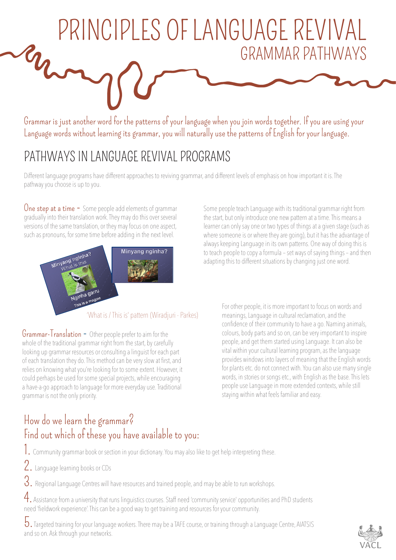## PRINCIPLES OF LANGUAGE REVIVAL GRAMMAR PATHWAYS

Grammar is just another word for the patterns of your language when you join words together. If you are using your Language words without learning its grammar, you will naturally use the patterns of English for your language.

## PATHWAYS IN LANGUAGE REVIVAL PROGRAMS

Different language programs have different approaches to reviving grammar, and different levels of emphasis on how important it is. The pathway you choose is up to you.

One step at a time  $-$  Some people add elements of grammar gradually into their translation work. They may do this over several versions of the same translation, or they may focus on one aspect, such as pronouns, for some time before adding in the next level.



'What is / This is' pattern (Wiradjuri - Parkes)

Grammar-Translation - Other people prefer to aim for the whole of the traditional grammar right from the start, by carefully looking up grammar resources or consulting a linguist for each part of each translation they do. This method can be very slow at first, and relies on knowing what you're looking for to some extent. However, it could perhaps be used for some special projects, while encouraging a have-a-go approach to language for more everyday use. Traditional grammar is not the only priority.

Some people teach Language with its traditional grammar right from the start, but only introduce one new pattern at a time. This means a learner can only say one or two types of things at a given stage (such as where someone is or where they are going), but it has the advantage of always keeping Language in its own patterns. One way of doing this is to teach people to copy a formula – set ways of saying things – and then adapting this to different situations by changing just one word.

> For other people, it is more important to focus on words and meanings, Language in cultural reclamation, and the confidence of their community to have a go. Naming animals, colours, body parts and so on, can be very important to inspire people, and get them started using Language. It can also be vital within your cultural learning program, as the language provides windows into layers of meaning that the English words for plants etc. do not connect with. You can also use many single words, in stories or songs etc., with English as the base. This lets people use Language in more extended contexts, while still staying within what feels familiar and easy.

## How do we learn the grammar? Find out which of these you have available to you:

1. Community grammar book or section in your dictionary. You may also like to get help interpreting these.

2. Language learning books or CDs

3. Regional Language Centres will have resources and trained people, and may be able to run workshops.

4. Assistance from a university that runs linguistics courses. Staff need 'community service' opportunities and PhD students need 'fieldwork experience'. This can be a good way to get training and resources for your community.

5. Targeted training for your language workers. There may be a TAFE course, or training through a Language Centre, AIATSIS and so on. Ask through your networks.